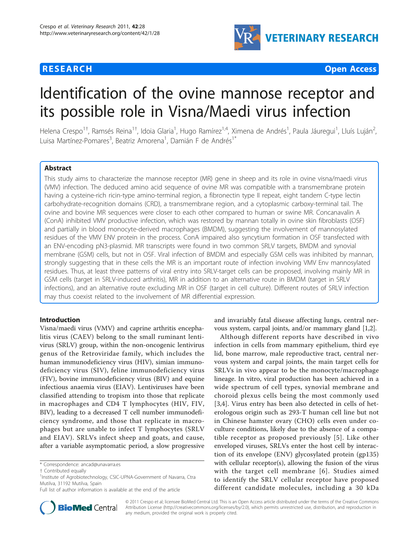## **RESEARCH CONTROL** CONTROL CONTROL CONTROL CONTROL CONTROL CONTROL CONTROL CONTROL CONTROL CONTROL CONTROL CONTROL



# Identification of the ovine mannose receptor and its possible role in Visna/Maedi virus infection

Helena Crespo<sup>1†</sup>, Ramsés Reina<sup>1†</sup>, Idoia Glaria<sup>1</sup>, Hugo Ramírez<sup>1,4</sup>, Ximena de Andrés<sup>1</sup>, Paula Jáuregui<sup>1</sup>, Lluís Luján<sup>2</sup> , Luisa Martínez-Pomares<sup>3</sup>, Beatriz Amorena<sup>1</sup>, Damián F de Andrés<sup>1\*</sup>

## Abstract

This study aims to characterize the mannose receptor (MR) gene in sheep and its role in ovine visna/maedi virus (VMV) infection. The deduced amino acid sequence of ovine MR was compatible with a transmembrane protein having a cysteine-rich ricin-type amino-terminal region, a fibronectin type II repeat, eight tandem C-type lectin carbohydrate-recognition domains (CRD), a transmembrane region, and a cytoplasmic carboxy-terminal tail. The ovine and bovine MR sequences were closer to each other compared to human or swine MR. Concanavalin A (ConA) inhibited VMV productive infection, which was restored by mannan totally in ovine skin fibroblasts (OSF) and partially in blood monocyte-derived macrophages (BMDM), suggesting the involvement of mannosylated residues of the VMV ENV protein in the process. ConA impaired also syncytium formation in OSF transfected with an ENV-encoding pN3-plasmid. MR transcripts were found in two common SRLV targets, BMDM and synovial membrane (GSM) cells, but not in OSF. Viral infection of BMDM and especially GSM cells was inhibited by mannan, strongly suggesting that in these cells the MR is an important route of infection involving VMV Env mannosylated residues. Thus, at least three patterns of viral entry into SRLV-target cells can be proposed, involving mainly MR in GSM cells (target in SRLV-induced arthritis), MR in addition to an alternative route in BMDM (target in SRLV infections), and an alternative route excluding MR in OSF (target in cell culture). Different routes of SRLV infection may thus coexist related to the involvement of MR differential expression.

## Introduction

Visna/maedi virus (VMV) and caprine arthritis encephalitis virus (CAEV) belong to the small ruminant lentivirus (SRLV) group, within the non-oncogenic lentivirus genus of the Retroviridae family, which includes the human immunodeficiency virus (HIV), simian immunodeficiency virus (SIV), feline immunodeficiency virus (FIV), bovine immunodeficiency virus (BIV) and equine infectious anaemia virus (EIAV). Lentiviruses have been classified attending to tropism into those that replicate in macrophages and CD4 T lymphocytes (HIV, FIV, BIV), leading to a decreased T cell number immunodeficiency syndrome, and those that replicate in macrophages but are unable to infect T lymphocytes (SRLV and EIAV). SRLVs infect sheep and goats, and cause, after a variable asymptomatic period, a slow progressive



Although different reports have described in vivo infection in cells from mammary epithelium, third eye lid, bone marrow, male reproductive tract, central nervous system and carpal joints, the main target cells for SRLVs in vivo appear to be the monocyte/macrophage lineage. In vitro, viral production has been achieved in a wide spectrum of cell types, synovial membrane and choroid plexus cells being the most commonly used [[3,4](#page-8-0)]. Virus entry has been also detected in cells of heterologous origin such as 293-T human cell line but not in Chinese hamster ovary (CHO) cells even under coculture conditions, likely due to the absence of a compatible receptor as proposed previously [[5](#page-8-0)]. Like other enveloped viruses, SRLVs enter the host cell by interaction of its envelope (ENV) glycosylated protein (gp135) with cellular receptor(s), allowing the fusion of the virus with the target cell membrane [[6\]](#page-8-0). Studies aimed to identify the SRLV cellular receptor have proposed different candidate molecules, including a 30 kDa



© 2011 Crespo et al; licensee BioMed Central Ltd. This is an Open Access article distributed under the terms of the Creative Commons Attribution License [\(http://creativecommons.org/licenses/by/2.0](http://creativecommons.org/licenses/by/2.0)), which permits unrestricted use, distribution, and reproduction in any medium, provided the original work is properly cited.

<sup>\*</sup> Correspondence: [ancad@unavarra.es](mailto:ancad@unavarra.es)

<sup>†</sup> Contributed equally <sup>1</sup>

<sup>&</sup>lt;sup>1</sup>Institute of Agrobiotechnology, CSIC-UPNA-Government of Navarra, Ctra Mutilva, 31192 Mutilva, Spain

Full list of author information is available at the end of the article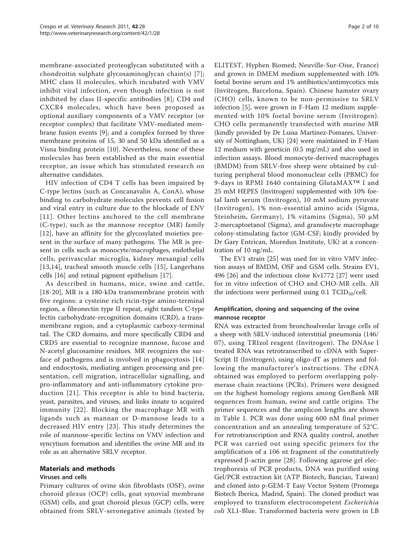membrane-associated proteoglycan substituted with a chondroitin sulphate glycosaminoglycan chain(s) [[7\]](#page-8-0); MHC class II molecules, which incubated with VMV inhibit viral infection, even though infection is not inhibited by class II-specific antibodies [[8\]](#page-9-0); CD4 and CXCR4 molecules, which have been proposed as optional auxiliary components of a VMV receptor (or receptor complex) that facilitate VMV-mediated membrane fusion events [[9\]](#page-9-0); and a complex formed by three membrane proteins of 15, 30 and 50 kDa identified as a Visna binding protein [[10\]](#page-9-0). Nevertheless, none of these molecules has been established as the main essential receptor, an issue which has stimulated research on alternative candidates.

HIV infection of CD4 T cells has been impaired by C-type lectins (such as Concanavalin A, ConA), whose binding to carbohydrate molecules prevents cell fusion and viral entry in culture due to the blockade of ENV [[11](#page-9-0)]. Other lectins anchored to the cell membrane (C-type), such as the mannose receptor (MR) family [[12](#page-9-0)], have an affinity for the glycosylated moieties present in the surface of many pathogens. The MR is present in cells such as monocyte/macrophages, endothelial cells, perivascular microglia, kidney mesangial cells [[13](#page-9-0),[14\]](#page-9-0), tracheal smooth muscle cells [[15\]](#page-9-0), Langerhans cells [[16](#page-9-0)] and retinal pigment epithelium [[17\]](#page-9-0).

As described in humans, mice, swine and cattle, [[18](#page-9-0)-[20\]](#page-9-0), MR is a 180-kDa transmembrane protein with five regions: a cysteine rich ricin-type amino-terminal region, a fibronectin type II repeat, eight tandem C-type lectin carbohydrate-recognition domains (CRD), a transmembrane region, and a cytoplasmic carboxy-terminal tail. The CRD domains, and more specifically CRD4 and CRD5 are essential to recognize mannose, fucose and N-acetyl glucosamine residues. MR recognizes the surface of pathogens and is involved in phagocytosis [[14](#page-9-0)] and endocytosis, mediating antigen processing and presentation, cell migration, intracellular signalling, and pro-inflammatory and anti-inflammatory cytokine production [[21\]](#page-9-0). This receptor is able to bind bacteria, yeast, parasites, and viruses, and links innate to acquired immunity [[22\]](#page-9-0). Blocking the macrophage MR with ligands such as mannan or D-mannose leads to a decreased HIV entry [[23](#page-9-0)]. This study determines the role of mannose-specific lectins on VMV infection and syncytium formation and identifies the ovine MR and its role as an alternative SRLV receptor.

## Materials and methods

## Viruses and cells

Primary cultures of ovine skin fibroblasts (OSF), ovine choroid plexus (OCP) cells, goat synovial membrane (GSM) cells, and goat choroid plexus (GCP) cells, were obtained from SRLV-seronegative animals (tested by ELITEST, Hyphen Biomed; Neuville-Sur-Oise, France) and grown in DMEM medium supplemented with 10% foetal bovine serum and 1% antibiotics/antimycotics mix (Invitrogen, Barcelona, Spain). Chinese hamster ovary (CHO) cells, known to be non-permissive to SRLV infection [[5\]](#page-8-0), were grown in F-Ham 12 medium supplemented with 10% foetal bovine serum (Invitrogen). CHO cells permanently transfected with murine MR (kindly provided by Dr Luisa Martinez-Pomares, University of Nottingham, UK) [\[24\]](#page-9-0) were maintained in F-Ham 12 medium with geneticin (0.5 mg/mL) and also used in infection assays. Blood monocyte-derived macrophages (BMDM) from SRLV-free sheep were obtained by culturing peripheral blood mononuclear cells (PBMC) for 9-days in RPMI 1640 containing GlutaMAX™ I and 25 mM HEPES (Invitrogen) supplemented with 10% foetal lamb serum (Invitrogen), 10 mM sodium pyruvate (Invitrogen), 1% non-essential amino acids (Sigma, Steinheim, Germany), 1% vitamins (Sigma), 50 μM 2-mercaptoetanol (Sigma), and granulocyte macrophage colony-stimulating factor (GM-CSF; kindly provided by Dr Gary Entrican, Moredun Institute, UK) at a concentration of 10 ng/mL.

The EV1 strain [[25\]](#page-9-0) was used for in vitro VMV infection assays of BMDM, OSF and GSM cells. Strains EV1, 496 [[26\]](#page-9-0) and the infectious clone Kv1772 [\[27\]](#page-9-0) were used for in vitro infection of CHO and CHO-MR cells. All the infections were performed using  $0.1$  TCID<sub>50</sub>/cell.

## Amplification, cloning and sequencing of the ovine mannose receptor

RNA was extracted from bronchoalveolar lavage cells of a sheep with SRLV-induced interstitial pneumonia (146/ 07), using TRIzol reagent (Invitrogen). The DNAse I treated RNA was retrotranscribed to cDNA with Super-Script II (Invitrogen), using oligo-dT as primers and following the manufacturer's instructions. The cDNA obtained was employed to perform overlapping polymerase chain reactions (PCRs). Primers were designed on the highest homology regions among GenBank MR sequences from human, swine and cattle origins. The primer sequences and the amplicon lengths are shown in Table [1.](#page-2-0) PCR was done using 600 nM final primer concentration and an annealing temperature of 52°C. For retrotranscription and RNA quality control, another PCR was carried out using specific primers for the amplification of a 106 nt fragment of the constitutively expressed  $\beta$ -actin gene [[28\]](#page-9-0). Following agarose gel electrophoresis of PCR products, DNA was purified using Gel/PCR extraction kit (ATP Biotech, Banciao, Taiwan) and cloned into p-GEM-T Easy Vector System (Promega Biotech Iberica, Madrid, Spain). The cloned product was employed to transform electrocompetent Escherichia coli XL1-Blue. Transformed bacteria were grown in LB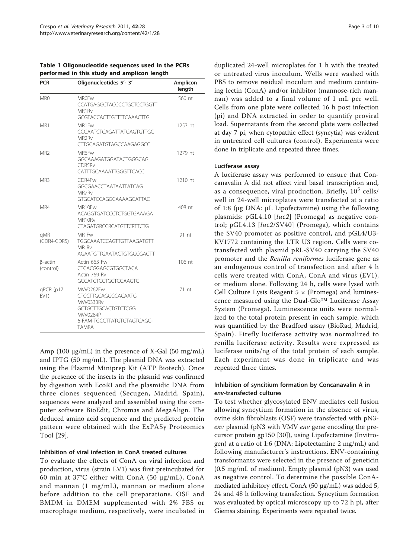<span id="page-2-0"></span>

| Table 1 Oligonucleotide sequences used in the PCRs |
|----------------------------------------------------|
| performed in this study and amplicon length        |

| <b>PCR</b>                  | Oligonucleotides 5'- 3'                                                                                                        | Amplicon<br>length |
|-----------------------------|--------------------------------------------------------------------------------------------------------------------------------|--------------------|
| MR0                         | <b>MROFw</b><br>CCATGAGGCTACCCCTGCTCCTGGTT<br>MR1R <sub>V</sub><br><b>GCGTACCACTTGTTTTCAAACTTG</b>                             | 560 nt             |
| MR1                         | MR1Fw<br>CCGAATCTCAGATTATGAGTGTTGC<br>MR <sub>2Rv</sub><br>CTTGCAGATGTAGCCAAGAGGCC                                             | 1253 nt            |
| MR <sub>2</sub>             | MR6Fw<br>GGCAAAGATGGATACTGGGCAG<br>CDR5R <sub>v</sub><br>CATTTGCAAAATTGGGTTCACC                                                | 1279 nt            |
| MR3                         | CDR4Fw<br><b>GGCGAACCTAATAATTATCAG</b><br>MR7R <sub>v</sub><br><b>GTGCATCCAGGCAAAAGCATTAC</b>                                  | 1210 nt            |
| MR4                         | MR10Fw<br>ACAGGTGATCCCTCTGGTGAAAGA<br>MR10Rv<br><b>CTAGATGRCCRCATGTTCRTTCTG</b>                                                | 408 nt             |
| qMR<br>(CDR4-CDR5)          | MR Fw<br>TGGCAAATCCAGTTGTTAAGATGTT<br>MR Rv<br>AGAATGTTGAATACTGTGGCGAGTT                                                       | 91 nt              |
| $\beta$ -actin<br>(control) | Actin 663 Fw<br>CTCACGGAGCGTGGCTACA<br>Actin 769 Rv<br><b>GCCATCTCCTGCTCGAAGTC</b>                                             | $106$ nt           |
| qPCR (p17<br>EV1)           | MVV0262Fw<br>CTCCTTGCAGGCCACAATG<br>MVV0333Rv<br>GCTGCTTGCACTGTCTCGG<br>MVV0284P<br>6-FAM-TGCCTTATGTGTAGTCAGC-<br><b>TAMRA</b> | $71$ nt            |

Amp (100 μg/mL) in the presence of X-Gal (50 mg/mL) and IPTG (50 mg/mL). The plasmid DNA was extracted using the Plasmid Miniprep Kit (ATP Biotech). Once the presence of the inserts in the plasmid was confirmed by digestion with EcoRI and the plasmidic DNA from three clones sequenced (Secugen, Madrid, Spain), sequences were analyzed and assembled using the computer software BioEdit, Chromas and MegaAlign. The deduced amino acid sequence and the predicted protein pattern were obtained with the ExPASy Proteomics Tool [\[29](#page-9-0)].

## Inhibition of viral infection in ConA treated cultures

To evaluate the effects of ConA on viral infection and production, virus (strain EV1) was first preincubated for 60 min at 37°C either with ConA (50 μg/mL), ConA and mannan (1 mg/mL), mannan or medium alone before addition to the cell preparations. OSF and BMDM in DMEM supplemented with 2% FBS or macrophage medium, respectively, were incubated in duplicated 24-well microplates for 1 h with the treated or untreated virus inoculum. Wells were washed with PBS to remove residual inoculum and medium containing lectin (ConA) and/or inhibitor (mannose-rich mannan) was added to a final volume of 1 mL per well. Cells from one plate were collected 16 h post infection (pi) and DNA extracted in order to quantify proviral load. Supernatants from the second plate were collected at day 7 pi, when cytopathic effect (syncytia) was evident in untreated cell cultures (control). Experiments were done in triplicate and repeated three times.

#### Luciferase assay

A luciferase assay was performed to ensure that Concanavalin A did not affect viral basal transcription and, as a consequence, viral production. Briefly,  $10^5$  cells/ well in 24-well microplates were transfected at a ratio of 1:8 (μg DNA: μL Lipofectamine) using the following plasmids: pGL4.10 [luc2] (Promega) as negative control; pGL4.13 [luc2/SV40] (Promega), which contains the SV40 promoter as positive control, and pGL4/U3- KV1772 containing the LTR U3 region. Cells were cotransfected with plasmid pRL-SV40 carrying the SV40 promoter and the Renilla reniformes luciferase gene as an endogenous control of transfection and after 4 h cells were treated with ConA, ConA and virus (EV1), or medium alone. Following 24 h, cells were lysed with Cell Culture Lysis Reagent  $5 \times$  (Promega) and luminescence measured using the Dual-Glo™ Luciferase Assay System (Promega). Luminescence units were normalized to the total protein present in each sample, which was quantified by the Bradford assay (BioRad, Madrid, Spain). Firefly luciferase activity was normalized to renilla luciferase activity. Results were expressed as luciferase units/ng of the total protein of each sample. Each experiment was done in triplicate and was repeated three times.

## Inhibition of syncitium formation by Concanavalin A in env-transfected cultures

To test whether glycosylated ENV mediates cell fusion allowing syncytium formation in the absence of virus, ovine skin fibroblasts (OSF) were transfected with pN3 env plasmid (pN3 with VMV env gene encoding the precursor protein gp150 [[30\]](#page-9-0)), using Lipofectamine (Invitrogen) at a ratio of 1:6 (DNA: Lipofectamine 2 mg/mL) and following manufacturer's instructions. ENV-containing transformants were selected in the presence of geneticin (0.5 mg/mL of medium). Empty plasmid (pN3) was used as negative control. To determine the possible ConAmediated inhibitory effect, ConA (50 μg/mL) was added 5, 24 and 48 h following transfection. Syncytium formation was evaluated by optical microscopy up to 72 h pi, after Giemsa staining. Experiments were repeated twice.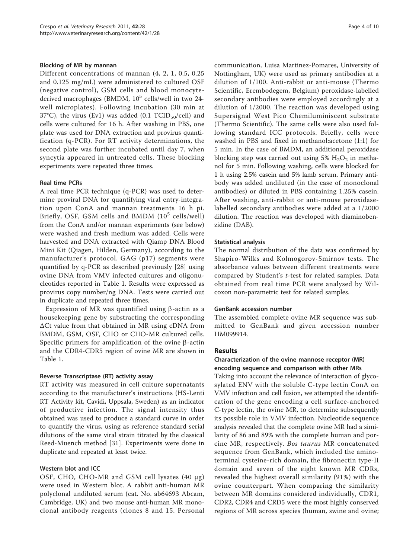#### Blocking of MR by mannan

Different concentrations of mannan (4, 2, 1, 0.5, 0.25 and 0.125 mg/mL) were administered to cultured OSF (negative control), GSM cells and blood monocytederived macrophages (BMDM,  $10<sup>5</sup>$  cells/well in two 24well microplates). Following incubation (30 min at 37°C), the virus (Ev1) was added (0.1  $TCID_{50}/cell$ ) and cells were cultured for 16 h. After washing in PBS, one plate was used for DNA extraction and provirus quantification (q-PCR). For RT activity determinations, the second plate was further incubated until day 7, when syncytia appeared in untreated cells. These blocking experiments were repeated three times.

#### Real time PCRs

A real time PCR technique (q-PCR) was used to determine proviral DNA for quantifying viral entry-integration upon ConA and mannan treatments 16 h pi. Briefly, OSF, GSM cells and BMDM  $(10^5 \text{ cells/well})$ from the ConA and/or mannan experiments (see below) were washed and fresh medium was added. Cells were harvested and DNA extracted with Qiamp DNA Blood Mini Kit (Qiagen, Hilden, Germany), according to the manufacturer's protocol. GAG (p17) segments were quantified by q-PCR as described previously [\[28\]](#page-9-0) using ovine DNA from VMV infected cultures and oligonucleotides reported in Table [1.](#page-2-0) Results were expressed as provirus copy number/ng DNA. Tests were carried out in duplicate and repeated three times.

Expression of MR was quantified using  $\beta$ -actin as a housekeeping gene by substracting the corresponding ΔCt value from that obtained in MR using cDNA from BMDM, GSM, OSF, CHO or CHO-MR cultured cells. Specific primers for amplification of the ovine  $\beta$ -actin and the CDR4-CDR5 region of ovine MR are shown in Table [1.](#page-2-0)

#### Reverse Transcriptase (RT) activity assay

RT activity was measured in cell culture supernatants according to the manufacturer's instructions (HS-Lenti RT Activity kit, Cavidi, Uppsala, Sweden) as an indicator of productive infection. The signal intensity thus obtained was used to produce a standard curve in order to quantify the virus, using as reference standard serial dilutions of the same viral strain titrated by the classical Reed-Muench method [[31\]](#page-9-0). Experiments were done in duplicate and repeated at least twice.

#### Western blot and ICC

OSF, CHO, CHO-MR and GSM cell lysates (40 μg) were used in Western blot. A rabbit anti-human MR polyclonal undiluted serum (cat. No. ab64693 Abcam, Cambridge, UK) and two mouse anti-human MR monoclonal antibody reagents (clones 8 and 15. Personal communication, Luisa Martinez-Pomares, University of Nottingham, UK) were used as primary antibodies at a dilution of 1/100. Anti-rabbit or anti-mouse (Thermo Scientific, Erembodegem, Belgium) peroxidase-labelled secondary antibodies were employed accordingly at a dilution of 1/2000. The reaction was developed using Supersignal West Pico Chemiluminiscent substrate (Thermo Scientific). The same cells were also used following standard ICC protocols. Briefly, cells were washed in PBS and fixed in methanol:acetone (1:1) for 5 min. In the case of BMDM, an additional peroxidase blocking step was carried out using 5%  $H_2O_2$  in methanol for 5 min. Following washing, cells were blocked for 1 h using 2.5% casein and 5% lamb serum. Primary antibody was added undiluted (in the case of monoclonal antibodies) or diluted in PBS containing 1.25% casein. After washing, anti-rabbit or anti-mouse peroxidaselabelled secondary antibodies were added at a 1/2000 dilution. The reaction was developed with diaminobenzidine (DAB).

#### Statistical analysis

The normal distribution of the data was confirmed by Shapiro-Wilks and Kolmogorov-Smirnov tests. The absorbance values between different treatments were compared by Student's t-test for related samples. Data obtained from real time PCR were analysed by Wilcoxon non-parametric test for related samples.

#### GenBank accession number

The assembled complete ovine MR sequence was submitted to GenBank and given accession number [HM099914.](http://www.ncbi.nih.gov/entrez/query.fcgi?db=Nucleotide&cmd=search&term=HM099914)

## Results

## Characterization of the ovine mannose receptor (MR) encoding sequence and comparison with other MRs

Taking into account the relevance of interaction of glycosylated ENV with the soluble C-type lectin ConA on VMV infection and cell fusion, we attempted the identification of the gene encoding a cell surface-anchored C-type lectin, the ovine MR, to determine subsequently its possible role in VMV infection. Nucleotide sequence analysis revealed that the complete ovine MR had a similarity of 86 and 89% with the complete human and porcine MR, respectively. Bos taurus MR concatenated sequence from GenBank, which included the aminoterminal cysteine-rich domain, the fibronectin type-II domain and seven of the eight known MR CDRs, revealed the highest overall similarity (91%) with the ovine counterpart. When comparing the similarity between MR domains considered individually, CDR1, CDR2, CDR4 and CRD5 were the most highly conserved regions of MR across species (human, swine and ovine;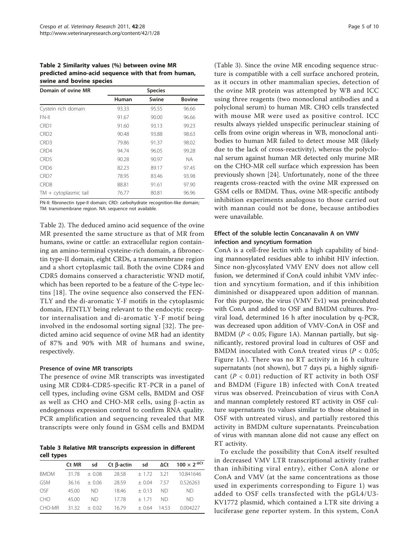Table 2 Similarity values (%) between ovine MR predicted amino-acid sequence with that from human, swine and bovine species

| Domain of ovine MR      | <b>Species</b> |       |               |  |  |
|-------------------------|----------------|-------|---------------|--|--|
|                         | Human          | Swine | <b>Bovine</b> |  |  |
| Cystein rich domain     | 93.33          | 95.55 | 96.66         |  |  |
| FN-II                   | 91.67          | 90.00 | 96.66         |  |  |
| CRD1                    | 91.60          | 93.13 | 99.23         |  |  |
| CRD <sub>2</sub>        | 90.48          | 93.88 | 98.63         |  |  |
| CRD <sub>3</sub>        | 79.86          | 91.37 | 98.02         |  |  |
| CRD4                    | 94.74          | 96.05 | 99.28         |  |  |
| CRD <sub>5</sub>        | 90.28          | 90.97 | NА            |  |  |
| CRD <sub>6</sub>        | 82.23          | 89.17 | 97.45         |  |  |
| CRD <sub>7</sub>        | 78.95          | 83.46 | 93.98         |  |  |
| CRD <sub>8</sub>        | 88.81          | 91.61 | 97.90         |  |  |
| $TM + cytoplasmic tail$ | 76.77          | 80.81 | 96.96         |  |  |

FN-II: fibronectin type-II domain; CRD: carbohydrate recognition-like domain; TM: transmembrane region. NA: sequence not available.

Table 2). The deduced amino acid sequence of the ovine MR presented the same structure as that of MR from humans, swine or cattle: an extracellular region containing an amino-terminal cysteine-rich domain, a fibronectin type-II domain, eight CRDs, a transmembrane region and a short cytoplasmic tail. Both the ovine CDR4 and CDR5 domains conserved a characteristic WND motif, which has been reported to be a feature of the C-type lectins [[18](#page-9-0)]. The ovine sequence also conserved the FEN-TLY and the di-aromatic Y-F motifs in the cytoplasmic domain, FENTLY being relevant to the endocytic receptor internalisation and di-aromatic Y-F motif being involved in the endosomal sorting signal [[32\]](#page-9-0). The predicted amino acid sequence of ovine MR had an identity of 87% and 90% with MR of humans and swine, respectively.

#### Presence of ovine MR transcripts

The presence of ovine MR transcripts was investigated using MR CDR4-CDR5-specific RT-PCR in a panel of cell types, including ovine GSM cells, BMDM and OSF as well as CHO and CHO-MR cells, using  $\beta$ -actin as endogenous expression control to confirm RNA quality. PCR amplification and sequencing revealed that MR transcripts were only found in GSM cells and BMDM

Table 3 Relative MR transcripts expression in different cell types

|             | Ct MR | sd      | $Ct$ $\beta$ -actin | sd           | $\Delta$ Ct | $100 \times 2^{-\Delta Ct}$ |
|-------------|-------|---------|---------------------|--------------|-------------|-----------------------------|
| <b>BMDM</b> | 31.78 | $+0.08$ | 28.58               | $+1.72$ 3.21 |             | 10.841646                   |
| <b>GSM</b>  | 36.16 | $+0.06$ | 28.59               | $+0.04$      | 757         | 0.526263                    |
| OSE         | 45.00 | ND.     | 18.46               | $+0.13$      | ND.         | ND.                         |
| <b>CHO</b>  | 45.00 | ND.     | 1778                | $+ 171$      | ND.         | ND.                         |
| CHO-MR      | 3132  | $+0.02$ | 16.79               | $+0.64$      | 1453        | 0.004227                    |

(Table 3). Since the ovine MR encoding sequence structure is compatible with a cell surface anchored protein, as it occurs in other mammalian species, detection of the ovine MR protein was attempted by WB and ICC using three reagents (two monoclonal antibodies and a polyclonal serum) to human MR. CHO cells transfected with mouse MR were used as positive control. ICC results always yielded unspecific perinuclear staining of cells from ovine origin whereas in WB, monoclonal antibodies to human MR failed to detect mouse MR (likely due to the lack of cross-reactivity), whereas the polyclonal serum against human MR detected only murine MR on the CHO-MR cell surface which expression has been previously shown [[24](#page-9-0)]. Unfortunately, none of the three reagents cross-reacted with the ovine MR expressed on GSM cells or BMDM. Thus, ovine MR-specific antibody inhibition experiments analogous to those carried out with mannan could not be done, because antibodies were unavailable.

## Effect of the soluble lectin Concanavalin A on VMV infection and syncytium formation

ConA is a cell-free lectin with a high capability of binding mannosylated residues able to inhibit HIV infection. Since non-glycosylated VMV ENV does not allow cell fusion, we determined if ConA could inhibit VMV infection and syncytium formation, and if this inhibition diminished or disappeared upon addition of mannan. For this purpose, the virus (VMV Ev1) was preincubated with ConA and added to OSF and BMDM cultures. Proviral load, determined 16 h after inoculation by q-PCR, was decreased upon addition of VMV-ConA in OSF and BMDM ( $P < 0.05$ ; Figure [1A\)](#page-5-0). Mannan partially, but significantly, restored proviral load in cultures of OSF and BMDM inoculated with ConA treated virus ( $P < 0.05$ ; Figure [1A](#page-5-0)). There was no RT activity in 16 h culture supernatants (not shown), but 7 days pi, a highly significant ( $P < 0.01$ ) reduction of RT activity in both OSF and BMDM (Figure [1B](#page-5-0)) infected with ConA treated virus was observed. Preincubation of virus with ConA and mannan completely restored RT activity in OSF culture supernatants (to values similar to those obtained in OSF with untreated virus), and partially restored this activity in BMDM culture supernatants. Preincubation of virus with mannan alone did not cause any effect on RT activity.

To exclude the possibility that ConA itself resulted in decreased VMV LTR transcriptional activity (rather than inhibiting viral entry), either ConA alone or ConA and VMV (at the same concentrations as those used in experiments corresponding to Figure [1\)](#page-5-0) was added to OSF cells transfected with the pGL4/U3- KV1772 plasmid, which contained a LTR site driving a luciferase gene reporter system. In this system, ConA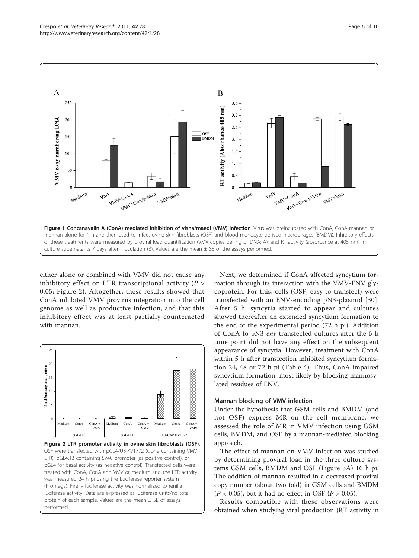<span id="page-5-0"></span>

either alone or combined with VMV did not cause any inhibitory effect on LTR transcriptional activity  $(P >$ 0.05; Figure 2). Altogether, these results showed that ConA inhibited VMV provirus integration into the cell genome as well as productive infection, and that this inhibitory effect was at least partially counteracted with mannan.



Next, we determined if ConA affected syncytium formation through its interaction with the VMV-ENV glycoprotein. For this, cells (OSF, easy to transfect) were transfected with an ENV-encoding pN3-plasmid [[30\]](#page-9-0). After 5 h, syncytia started to appear and cultures showed thereafter an extended syncytium formation to the end of the experimental period (72 h pi). Addition of ConA to pN3-env transfected cultures after the 5-h time point did not have any effect on the subsequent appearance of syncytia. However, treatment with ConA within 5 h after transfection inhibited syncytium formation 24, 48 or 72 h pi (Table [4\)](#page-6-0). Thus, ConA impaired syncytium formation, most likely by blocking mannosylated residues of ENV.

#### Mannan blocking of VMV infection

Under the hypothesis that GSM cells and BMDM (and not OSF) express MR on the cell membrane, we assessed the role of MR in VMV infection using GSM cells, BMDM, and OSF by a mannan-mediated blocking approach.

The effect of mannan on VMV infection was studied by determining proviral load in the three culture systems GSM cells, BMDM and OSF (Figure [3A](#page-6-0)) 16 h pi. The addition of mannan resulted in a decreased proviral copy number (about two fold) in GSM cells and BMDM  $(P < 0.05)$ , but it had no effect in OSF  $(P > 0.05)$ .

Results compatible with these observations were obtained when studying viral production (RT activity in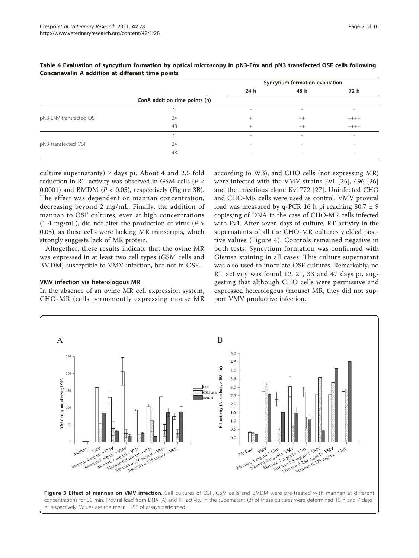|                         |                               | Syncytium formation evaluation |        |         |  |
|-------------------------|-------------------------------|--------------------------------|--------|---------|--|
|                         |                               | 24 h                           | 48 h   | 72 h    |  |
|                         | ConA addition time points (h) |                                |        |         |  |
|                         |                               | $\overline{\phantom{a}}$       | $\sim$ |         |  |
| pN3-ENV transfected OSF | 24                            | $^+$                           | $++$   | $+++++$ |  |
|                         | 48                            | $^{+}$                         | $++$   | $++++-$ |  |
|                         |                               | $\overline{\phantom{a}}$       | $\sim$ | $\sim$  |  |
| pN3 transfected OSF     | 24                            | $\overline{\phantom{a}}$       | $\,$   | $\sim$  |  |
|                         | 48                            | $\overline{\phantom{a}}$       | $\sim$ | $\sim$  |  |

## <span id="page-6-0"></span>Table 4 Evaluation of syncytium formation by optical microscopy in pN3-Env and pN3 transfected OSF cells following Concanavalin A addition at different time points

culture supernatants) 7 days pi. About 4 and 2.5 fold reduction in RT activity was observed in GSM cells ( $P <$ 0.0001) and BMDM ( $P < 0.05$ ), respectively (Figure 3B). The effect was dependent on mannan concentration, decreasing beyond 2 mg/mL. Finally, the addition of mannan to OSF cultures, even at high concentrations (1-4 mg/mL), did not alter the production of virus ( $P >$ 0.05), as these cells were lacking MR transcripts, which strongly suggests lack of MR protein.

Altogether, these results indicate that the ovine MR was expressed in at least two cell types (GSM cells and BMDM) susceptible to VMV infection, but not in OSF.

## VMV infection via heterologous MR

In the absence of an ovine MR cell expression system, CHO-MR (cells permanently expressing mouse MR

according to WB), and CHO cells (not expressing MR) were infected with the VMV strains Ev1 [[25](#page-9-0)], 496 [\[26](#page-9-0)] and the infectious clone Kv1772 [[27](#page-9-0)]. Uninfected CHO and CHO-MR cells were used as control. VMV proviral load was measured by q-PCR 16 h pi reaching  $80.7 \pm 9$ copies/ng of DNA in the case of CHO-MR cells infected with Ev1. After seven days of culture, RT activity in the supernatants of all the CHO-MR cultures yielded positive values (Figure [4\)](#page-7-0). Controls remained negative in both tests. Syncytium formation was confirmed with Giemsa staining in all cases. This culture supernatant was also used to inoculate OSF cultures. Remarkably, no RT activity was found 12, 21, 33 and 47 days pi, suggesting that although CHO cells were permissive and expressed heterologous (mouse) MR, they did not support VMV productive infection.

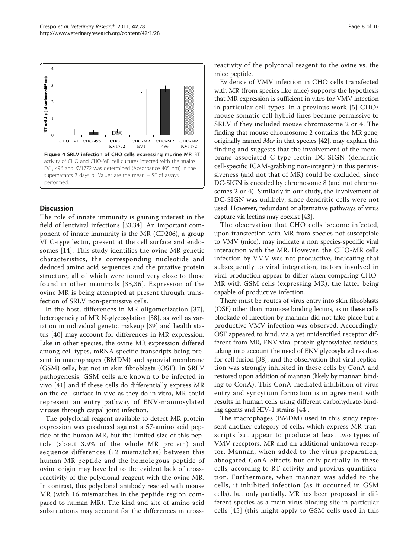

<span id="page-7-0"></span>

## **Discussion**

The role of innate immunity is gaining interest in the field of lentiviral infections [[33,34](#page-9-0)]. An important component of innate immunity is the MR (CD206), a group VI C-type lectin, present at the cell surface and endosomes [\[14\]](#page-9-0). This study identifies the ovine MR genetic characteristics, the corresponding nucleotide and deduced amino acid sequences and the putative protein structure, all of which were found very close to those found in other mammals [[35](#page-9-0),[36](#page-9-0)]. Expression of the ovine MR is being attempted at present through transfection of SRLV non-permissive cells.

In the host, differences in MR oligomerization [[37](#page-9-0)], heterogeneity of MR N-glycosylation [[38\]](#page-9-0), as well as variation in individual genetic makeup [[39](#page-9-0)] and health status [[40](#page-9-0)] may account for differences in MR expression. Like in other species, the ovine MR expression differed among cell types, mRNA specific transcripts being present in macrophages (BMDM) and synovial membrane (GSM) cells, but not in skin fibroblasts (OSF). In SRLV pathogenesis, GSM cells are known to be infected in vivo [\[41](#page-9-0)] and if these cells do differentially express MR on the cell surface in vivo as they do in vitro, MR could represent an entry pathway of ENV-mannosylated viruses through carpal joint infection.

The polyclonal reagent available to detect MR protein expression was produced against a 57-amino acid peptide of the human MR, but the limited size of this peptide (about 3.9% of the whole MR protein) and sequence differences (12 mismatches) between this human MR peptide and the homologous peptide of ovine origin may have led to the evident lack of crossreactivity of the polyclonal reagent with the ovine MR. In contrast, this polyclonal antibody reacted with mouse MR (with 16 mismatches in the peptide region compared to human MR). The kind and site of amino acid substitutions may account for the differences in crossreactivity of the polyconal reagent to the ovine vs. the mice peptide.

Evidence of VMV infection in CHO cells transfected with MR (from species like mice) supports the hypothesis that MR expression is sufficient in vitro for VMV infection in particular cell types. In a previous work [[5](#page-8-0)] CHO/ mouse somatic cell hybrid lines became permissive to SRLV if they included mouse chromosome 2 or 4. The finding that mouse chromosome 2 contains the MR gene, originally named Mcr in that species [[42](#page-9-0)], may explain this finding and suggests that the involvement of the membrane associated C-type lectin DC-SIGN (dendritic cell-specific ICAM-grabbing non-integrin) in this permissiveness (and not that of MR) could be excluded, since DC-SIGN is encoded by chromosome 8 (and not chromosomes 2 or 4). Similarly in our study, the involvement of DC-SIGN was unlikely, since dendritic cells were not used. However, redundant or alternative pathways of virus capture via lectins may coexist [[43](#page-9-0)].

The observation that CHO cells become infected, upon transfection with MR from species not susceptible to VMV (mice), may indicate a non species-specific viral interaction with the MR. However, the CHO-MR cells infection by VMV was not productive, indicating that subsequently to viral integration, factors involved in viral production appear to differ when comparing CHO-MR with GSM cells (expressing MR), the latter being capable of productive infection.

There must be routes of virus entry into skin fibroblasts (OSF) other than mannose binding lectins, as in these cells blockade of infection by mannan did not take place but a productive VMV infection was observed. Accordingly, OSF appeared to bind, via a yet unidentified receptor different from MR, ENV viral protein glycosylated residues, taking into account the need of ENV glycosylated residues for cell fusion [[38\]](#page-9-0), and the observation that viral replication was strongly inhibited in these cells by ConA and restored upon addition of mannan (likely by mannan binding to ConA). This ConA-mediated inhibition of virus entry and syncytium formation is in agreement with results in human cells using different carbohydrate-binding agents and HIV-1 strains [\[44\]](#page-9-0).

The macrophages (BMDM) used in this study represent another category of cells, which express MR transcripts but appear to produce at least two types of VMV receptors, MR and an additional unknown receptor. Mannan, when added to the virus preparation, abrogated ConA effects but only partially in these cells, according to RT activity and provirus quantification. Furthermore, when mannan was added to the cells, it inhibited infection (as it occurred in GSM cells), but only partially. MR has been proposed in different species as a main virus binding site in particular cells [[45](#page-9-0)] (this might apply to GSM cells used in this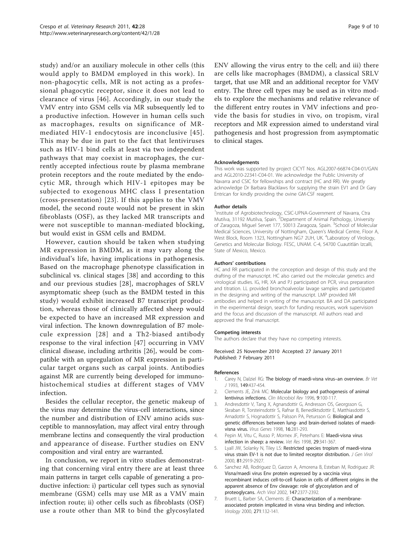<span id="page-8-0"></span>study) and/or an auxiliary molecule in other cells (this would apply to BMDM employed in this work). In non-phagocytic cells, MR is not acting as a professional phagocytic receptor, since it does not lead to clearance of virus [[46\]](#page-9-0). Accordingly, in our study the VMV entry into GSM cells via MR subsequently led to a productive infection. However in human cells such as macrophages, results on significance of MRmediated HIV-1 endocytosis are inconclusive [[45\]](#page-9-0). This may be due in part to the fact that lentiviruses such as HIV-1 bind cells at least via two independent pathways that may coexist in macrophages, the currently accepted infectious route by plasma membrane protein receptors and the route mediated by the endocytic MR, through which HIV-1 epitopes may be subjected to exogenous MHC class I presentation (cross-presentation) [[23\]](#page-9-0). If this applies to the VMV model, the second route would not be present in skin fibroblasts (OSF), as they lacked MR transcripts and were not susceptible to mannan-mediated blocking, but would exist in GSM cells and BMDM.

However, caution should be taken when studying MR expression in BMDM, as it may vary along the individual's life, having implications in pathogenesis. Based on the macrophage phenotype classification in subclinical vs. clinical stages [[38\]](#page-9-0) and according to this and our previous studies [[28\]](#page-9-0), macrophages of SRLV asymptomatic sheep (such as the BMDM tested in this study) would exhibit increased B7 transcript production, whereas those of clinically affected sheep would be expected to have an increased MR expression and viral infection. The known downregulation of B7 molecule expression [[28\]](#page-9-0) and a Th2-biased antibody response to the viral infection [[47](#page-9-0)] occurring in VMV clinical disease, including arthritis [[26\]](#page-9-0), would be compatible with an upregulation of MR expression in particular target organs such as carpal joints. Antibodies against MR are currently being developed for immunohistochemical studies at different stages of VMV infection.

Besides the cellular receptor, the genetic makeup of the virus may determine the virus-cell interactions, since the number and distribution of ENV amino acids susceptible to mannosylation, may affect viral entry through membrane lectins and consequently the viral production and appearance of disease. Further studies on ENV composition and viral entry are warranted.

In conclusion, we report in vitro studies demonstrating that concerning viral entry there are at least three main patterns in target cells capable of generating a productive infection: i) particular cell types such as synovial membrane (GSM) cells may use MR as a VMV main infection route; ii) other cells such as fibroblasts (OSF) use a route other than MR to bind the glycosylated ENV allowing the virus entry to the cell; and iii) there are cells like macrophages (BMDM), a classical SRLV target, that use MR and an additional receptor for VMV entry. The three cell types may be used as in vitro models to explore the mechanisms and relative relevance of the different entry routes in VMV infections and provide the basis for studies in vivo, on tropism, viral receptors and MR expression aimed to understand viral pathogenesis and host progression from asymptomatic to clinical stages.

#### Acknowledgements

This work was supported by project CICYT Nos. AGL2007-66874-C04-01/GAN and AGL2010-22341-C04-01. We acknowledge the Public University of Navarra and CSIC for fellowships and contract (HC and RR). We greatly acknowledge Dr Barbara Blacklaws for supplying the strain EV1 and Dr Gary Entrican for kindly providing the ovine GM-CSF reagent.

#### Author details

<sup>1</sup>Institute of Agrobiotechnology, CSIC-UPNA-Government of Navarra, Ctra Mutilva, 31192 Mutilva, Spain. <sup>2</sup>Department of Animal Pathology, University of Zaragoza, Miguel Servet 177, 50013 Zaragoza, Spain. <sup>3</sup>School of Molecular Medical Sciences, University of Nottingham, Queen's Medical Centre, Floor A, West Block, Room 1323, Nottingham NG7 2UH, UK. <sup>4</sup>Laboratory of Virology, Genetics and Molecular Biology. FESC, UNAM. C-4, 54700 Cuautitlán Izcalli, State of Mexico, Mexico.

#### Authors' contributions

HC and RR participated in the conception and design of this study and the drafting of the manuscript. HC also carried out the molecular genetics and virological studies. IG, HR, XA and PJ participated on PCR, virus preparation and titration. LL provided bronchoalveolar lavage samples and participated in the designing and writing of the manuscript. LMP provided MR antibodies and helped in writing of the manuscript. BA and DA participated in the experimental design, search for funding resources, work supervision and the focus and discussion of the manuscript. All authors read and approved the final manuscript.

#### Competing interests

The authors declare that they have no competing interests.

Received: 25 November 2010 Accepted: 27 January 2011 Published: 7 February 2011

#### References

- Carey N, Dalziel RG: [The biology of maedi-visna virus](http://www.ncbi.nlm.nih.gov/pubmed/8298957?dopt=Abstract)-an overview. Br Vet J 1993, 149:437-454.
- 2. Clements JE, Zink MC: [Molecular biology and pathogenesis of animal](http://www.ncbi.nlm.nih.gov/pubmed/8665473?dopt=Abstract) [lentivirus infections.](http://www.ncbi.nlm.nih.gov/pubmed/8665473?dopt=Abstract) Clin Microbiol Rev 1996, 9:100-117.
- 3. Andresdottir V, Tang X, Agnarsdottir G, Andresson OS, Georgsson G, Skraban R, Torsteinsdottir S, Rafnar B, Benediktsdottir E, Matthiasdottir S, Arnadottir S, Hognadottir S, Palsson PA, Petursson G: [Biological and](http://www.ncbi.nlm.nih.gov/pubmed/9654682?dopt=Abstract) [genetic differences between lung- and brain-derived isolates of maedi](http://www.ncbi.nlm.nih.gov/pubmed/9654682?dopt=Abstract)[visna virus.](http://www.ncbi.nlm.nih.gov/pubmed/9654682?dopt=Abstract) Virus Genes 1998, 16:281-293.
- 4. Pepin M, Vitu C, Russo P, Mornex JF, Peterhans E: [Maedi-visna virus](http://www.ncbi.nlm.nih.gov/pubmed/9689746?dopt=Abstract) [infection in sheep: a review.](http://www.ncbi.nlm.nih.gov/pubmed/9689746?dopt=Abstract) Vet Res 1998, 29:341-367.
- 5. Lyall JW, Solanky N, Tiley LS: [Restricted species tropism of maedi-visna](http://www.ncbi.nlm.nih.gov/pubmed/11086123?dopt=Abstract) [virus strain EV-1 is not due to limited receptor distribution.](http://www.ncbi.nlm.nih.gov/pubmed/11086123?dopt=Abstract) J Gen Virol 2000, 81:2919-2927.
- 6. Sanchez AB, Rodriguez D, Garzon A, Amorena B, Esteban M, Rodriguez JR: [Visna/maedi virus Env protein expressed by a vaccinia virus](http://www.ncbi.nlm.nih.gov/pubmed/12491104?dopt=Abstract) [recombinant induces cell-to-cell fusion in cells of different origins in the](http://www.ncbi.nlm.nih.gov/pubmed/12491104?dopt=Abstract) [apparent absence of Env cleavage: role of glycosylation and of](http://www.ncbi.nlm.nih.gov/pubmed/12491104?dopt=Abstract) [proteoglycans.](http://www.ncbi.nlm.nih.gov/pubmed/12491104?dopt=Abstract) Arch Virol 2002, 147:2377-2392.
- 7. Bruett L, Barber SA, Clements JE: [Characterization of a membrane](http://www.ncbi.nlm.nih.gov/pubmed/10814578?dopt=Abstract)[associated protein implicated in visna virus binding and infection.](http://www.ncbi.nlm.nih.gov/pubmed/10814578?dopt=Abstract) Virology 2000, 271:132-141.